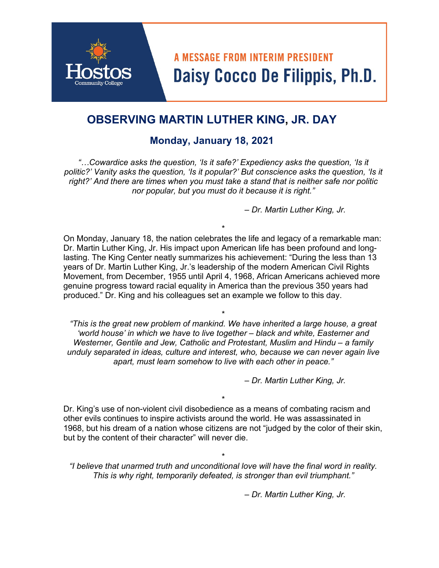# **A MESSAGE FROM INTERIM PRESIDENT** Daisy Cocco De Filippis, Ph.D.

## **OBSERVING MARTIN LUTHER KING, JR. DAY**

### **Monday, January 18, 2021**

*"…Cowardice asks the question, 'Is it safe?' Expediency asks the question, 'Is it politic?' Vanity asks the question, 'Is it popular?' But conscience asks the question, 'Is it right?' And there are times when you must take a stand that is neither safe nor politic nor popular, but you must do it because it is right."* 

*– Dr. Martin Luther King, Jr.* 

\* On Monday, January 18, the nation celebrates the life and legacy of a remarkable man: Dr. Martin Luther King, Jr. His impact upon American life has been profound and longlasting. The King Center neatly summarizes his achievement: "During the less than 13 years of Dr. Martin Luther King, Jr.'s leadership of the modern American Civil Rights Movement, from December, 1955 until April 4, 1968, African Americans achieved more genuine progress toward racial equality in America than the previous 350 years had produced." Dr. King and his colleagues set an example we follow to this day.

\* *"This is the great new problem of mankind. We have inherited a large house, a great 'world house' in which we have to live together – black and white, Easterner and Westerner, Gentile and Jew, Catholic and Protestant, Muslim and Hindu – a family unduly separated in ideas, culture and interest, who, because we can never again live apart, must learn somehow to live with each other in peace."* 

*– Dr. Martin Luther King, Jr.* 

\* Dr. King's use of non-violent civil disobedience as a means of combating racism and other evils continues to inspire activists around the world. He was assassinated in 1968, but his dream of a nation whose citizens are not "judged by the color of their skin, but by the content of their character" will never die.

\* *"I believe that unarmed truth and unconditional love will have the final word in reality. This is why right, temporarily defeated, is stronger than evil triumphant."* 

*– Dr. Martin Luther King, Jr.*